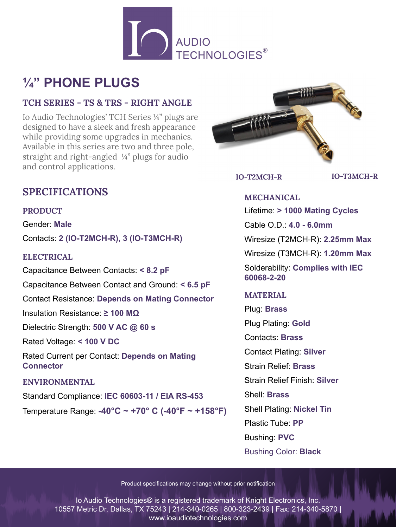

# **¼" PHONE PLUGS**

### **TCH SERIES - TS & TRS - RIGHT ANGLE**

Io Audio Technologies' TCH Series ¼" plugs are designed to have a sleek and fresh appearance while providing some upgrades in mechanics. Available in this series are two and three pole, straight and right-angled ¼" plugs for audio and control applications.



**IO-T2MCH-R IO-T3MCH-R**

## **SPECIFICATIONS**

**PRODUCT**

Gender: **Male**

Contacts: **2 (IO-T2MCH-R), 3 (IO-T3MCH-R)**

#### **ELECTRICAL**

Capacitance Between Contacts: **< 8.2 pF** Capacitance Between Contact and Ground: **< 6.5 pF** Contact Resistance: **Depends on Mating Connector** Insulation Resistance: **≥ 100 MΩ** Dielectric Strength: **500 V AC @ 60 s** Rated Voltage: **< 100 V DC**

Rated Current per Contact: **Depends on Mating Connector**

#### **ENVIRONMENTAL**

Standard Compliance: **IEC 60603-11 / EIA RS-453**

Temperature Range: **-40°C ~ +70° C (-40°F ~ +158°F)**

#### **MECHANICAL**

Lifetime: **> 1000 Mating Cycles**

Cable O.D.: **4.0 - 6.0mm**

Wiresize (T2MCH-R): **2.25mm Max**

Wiresize (T3MCH-R): **1.20mm Max**

Solderability: **Complies with IEC 60068-2-20**

#### **MATERIAL**

Plug: **Brass** Plug Plating: **Gold** Contacts: **Brass** Contact Plating: **Silver** Strain Relief: **Brass** Strain Relief Finish: **Silver** Shell: **Brass** Shell Plating: **Nickel Tin** Plastic Tube: **PP** Bushing: **PVC** Bushing Color: **Black**

Product specifications may change without prior notification

Io Audio Technologies**®** is a registered trademark of Knight Electronics, Inc. 10557 Metric Dr. Dallas, TX 75243 | 214-340-0265 | 800-323-2439 | Fax: 214-340-5870 | www.ioaudiotechnologies.com